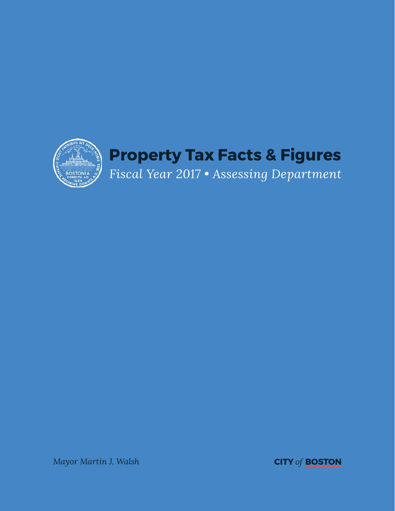

*Mayor Martin J. Walsh* **CITY** *of* **BOSTON**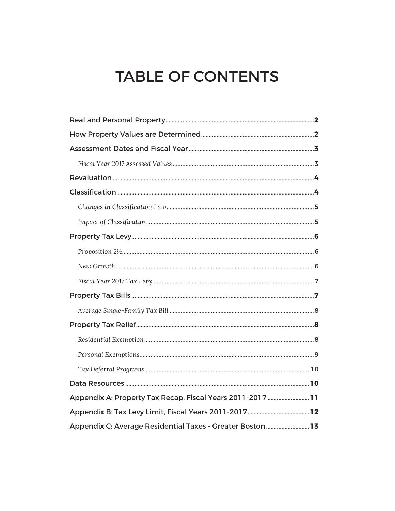# **TABLE OF CONTENTS**

| Appendix A: Property Tax Recap, Fiscal Years 2011-2017 11 |  |
|-----------------------------------------------------------|--|
|                                                           |  |
| Appendix C: Average Residential Taxes - Greater Boston13  |  |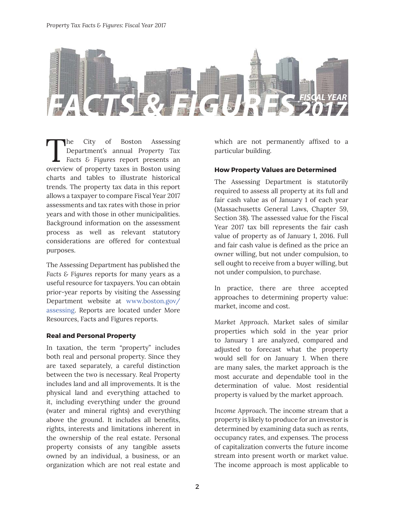

The City of Boston Assessing<br>Department's annual Property Tax<br>Facts & Figures report presents an<br>averyiew of property taxes in Boston using Department's annual *Property Tax Facts & Figures* report presents an overview of property taxes in Boston using charts and tables to illustrate historical trends. The property tax data in this report allows a taxpayer to compare Fiscal Year 2017 assessments and tax rates with those in prior years and with those in other municipalities. Background information on the assessment process as well as relevant statutory considerations are offered for contextual purposes.

The Assessing Department has published the *Facts & Figures* reports for many years as a useful resource for taxpayers. You can obtain prior-year reports by visiting the Assessing Department website at www.boston.gov/ assessing. Reports are located under More Resources, Facts and Figures reports.

# **Real and Personal Property**

In taxation, the term "property" includes both real and personal property. Since they are taxed separately, a careful distinction between the two is necessary. Real Property includes land and all improvements. It is the physical land and everything attached to it, including everything under the ground (water and mineral rights) and everything above the ground. It includes all benefits, rights, interests and limitations inherent in the ownership of the real estate. Personal property consists of any tangible assets owned by an individual, a business, or an organization which are not real estate and which are not permanently affixed to a particular building.

# **How Property Values are Determined**

The Assessing Department is statutorily required to assess all property at its full and fair cash value as of January 1 of each year (Massachusetts General Laws, Chapter 59, Section 38). The assessed value for the Fiscal Year 2017 tax bill represents the fair cash value of property as of January 1, 2016. Full and fair cash value is defined as the price an owner willing, but not under compulsion, to sell ought to receive from a buyer willing, but not under compulsion, to purchase.

In practice, there are three accepted approaches to determining property value: market, income and cost.

*Market Approach*. Market sales of similar properties which sold in the year prior to January 1 are analyzed, compared and adjusted to forecast what the property would sell for on January 1. When there are many sales, the market approach is the most accurate and dependable tool in the determination of value. Most residential property is valued by the market approach.

*Income Approach*. The income stream that a property is likely to produce for an investor is determined by examining data such as rents, occupancy rates, and expenses. The process of capitalization converts the future income stream into present worth or market value. The income approach is most applicable to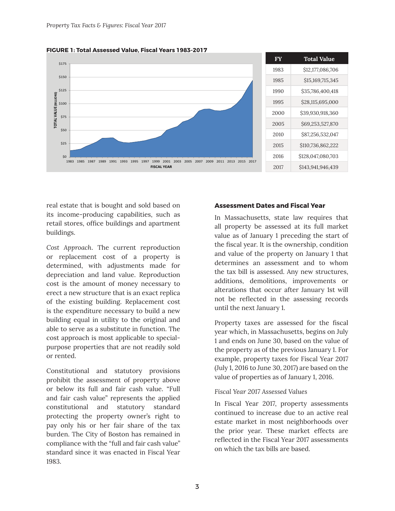

**FIGURE 1: Total Assessed Value, Fiscal Years 1983-2017**

real estate that is bought and sold based on its income-producing capabilities, such as retail stores, office buildings and apartment buildings.

*Cost Approach*. The current reproduction or replacement cost of a property is determined, with adjustments made for depreciation and land value. Reproduction cost is the amount of money necessary to erect a new structure that is an exact replica of the existing building. Replacement cost is the expenditure necessary to build a new building equal in utility to the original and able to serve as a substitute in function. The cost approach is most applicable to specialpurpose properties that are not readily sold or rented.

Constitutional and statutory provisions prohibit the assessment of property above or below its full and fair cash value. "Full and fair cash value" represents the applied constitutional and statutory standard protecting the property owner's right to pay only his or her fair share of the tax burden. The City of Boston has remained in compliance with the "full and fair cash value" standard since it was enacted in Fiscal Year 1983.

#### **Assessment Dates and Fiscal Year**

In Massachusetts, state law requires that all property be assessed at its full market value as of January 1 preceding the start of the fiscal year. It is the ownership, condition and value of the property on January 1 that determines an assessment and to whom the tax bill is assessed. Any new structures, additions, demolitions, improvements or alterations that occur after January 1st will not be reflected in the assessing records until the next January 1.

Property taxes are assessed for the fiscal year which, in Massachusetts, begins on July 1 and ends on June 30, based on the value of the property as of the previous January 1. For example, property taxes for Fiscal Year 2017 (July 1, 2016 to June 30, 2017) are based on the value of properties as of January 1, 2016.

# *Fiscal Year 2017 Assessed Values*

In Fiscal Year 2017, property assessments continued to increase due to an active real estate market in most neighborhoods over the prior year. These market effects are reflected in the Fiscal Year 2017 assessments on which the tax bills are based.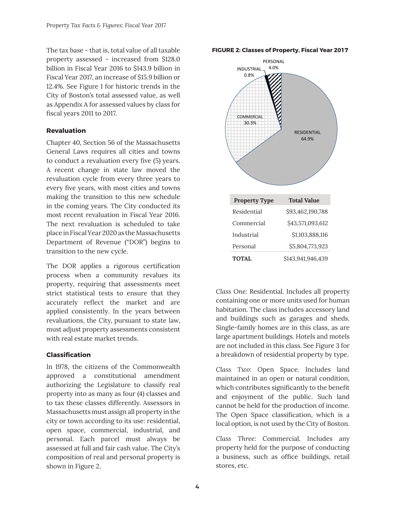The tax base - that is, total value of all taxable property assessed - increased from \$128.0 billion in Fiscal Year 2016 to \$143.9 billion in Fiscal Year 2017, an increase of \$15.9 billion or 12.4%. See Figure 1 for historic trends in the City of Boston's total assessed value, as well as Appendix A for assessed values by class for fiscal years 2011 to 2017.

# **Revaluation**

Chapter 40, Section 56 of the Massachusetts General Laws requires all cities and towns to conduct a revaluation every five (5) years. A recent change in state law moved the revaluation cycle from every three years to every five years, with most cities and towns making the transition to this new schedule in the coming years. The City conducted its most recent revaluation in Fiscal Year 2016. The next revaluation is scheduled to take place in Fiscal Year 2020 as the Massachusetts Department of Revenue ("DOR") begins to transition to the new cycle.

The DOR applies a rigorous certification process when a community revalues its property, requiring that assessments meet strict statistical tests to ensure that they accurately reflect the market and are applied consistently. In the years between revaluations, the City, pursuant to state law, must adjust property assessments consistent with real estate market trends.

# **Classifi cation**

In 1978, the citizens of the Commonwealth approved a constitutional amendment authorizing the Legislature to classify real property into as many as four (4) classes and to tax these classes differently. Assessors in Massachusetts must assign all property in the city or town according to its use: residential, open space, commercial, industrial, and personal. Each parcel must always be assessed at full and fair cash value. The City's composition of real and personal property is shown in Figure 2.

#### **FIGURE 2: Classes of Property, Fiscal Year 2017**



*Class One*: Residential. Includes all property containing one or more units used for human habitation. The class includes accessory land and buildings such as garages and sheds. Single-family homes are in this class, as are large apartment buildings. Hotels and motels are not included in this class. See Figure 3 for a breakdown of residential property by type.

*Class Two*: Open Space. Includes land maintained in an open or natural condition, which contributes significantly to the benefit and enjoyment of the public. Such land cannot be held for the production of income. The Open Space classification, which is a local option, is not used by the City of Boston.

*Class Three*: Commercial. Includes any property held for the purpose of conducting a business, such as office buildings, retail stores, etc.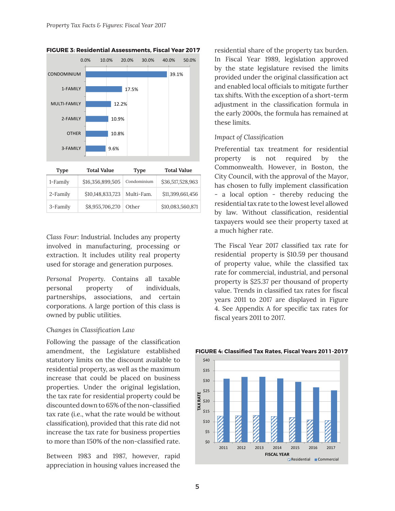

# **FIGURE 3: Residential Assessments, Fiscal Year 2017**

| <b>Type</b> | <b>Total Value</b> | Type        | <b>Total Value</b> |  |  |
|-------------|--------------------|-------------|--------------------|--|--|
| 1-Family    | \$16,356,899,505   | Condominium | \$36,517,528,963   |  |  |
| 2-Family    | \$10,148,833,723   | Multi-Fam.  | \$11,399,661,456   |  |  |
| 3-Family    | \$8,955,706,270    | Other       | \$10,083,560,871   |  |  |

*Class Four*: Industrial. Includes any property involved in manufacturing, processing or extraction. It includes utility real property used for storage and generation purposes.

*Personal Property*. Contains all taxable personal property of individuals, partnerships, associations, and certain corporations. A large portion of this class is owned by public utilities.

#### *Changes in Classifi cation Law*

Following the passage of the classification amendment, the Legislature established statutory limits on the discount available to residential property, as well as the maximum increase that could be placed on business properties. Under the original legislation, the tax rate for residential property could be discounted down to 65% of the non-classified tax rate (i.e., what the rate would be without classification), provided that this rate did not increase the tax rate for business properties to more than 150% of the non-classified rate.

Between 1983 and 1987, however, rapid appreciation in housing values increased the

residential share of the property tax burden. In Fiscal Year 1989, legislation approved by the state legislature revised the limits provided under the original classification act and enabled local officials to mitigate further tax shifts. With the exception of a short-term adjustment in the classification formula in the early 2000s, the formula has remained at these limits.

## *Impact of Classification*

Preferential tax treatment for residential property is not required by the Commonwealth. However, in Boston, the City Council, with the approval of the Mayor, has chosen to fully implement classification - a local option - thereby reducing the residential tax rate to the lowest level allowed by law. Without classification, residential taxpayers would see their property taxed at a much higher rate.

The Fiscal Year 2017 classified tax rate for residential property is \$10.59 per thousand of property value, while the classified tax rate for commercial, industrial, and personal property is \$25.37 per thousand of property value. Trends in classified tax rates for fiscal years 2011 to 2017 are displayed in Figure 4. See Appendix A for specific tax rates for fiscal years 2011 to 2017.

#### **FIGURE 4: Classified Tax Rates, Fiscal Years 2011-2017**

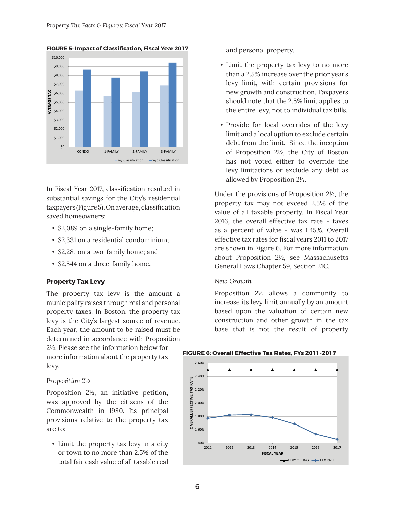

**FIGURE 5: Impact of Classification, Fiscal Year 2017** 

In Fiscal Year 2017, classification resulted in substantial savings for the City's residential taxpayers (Figure 5). On average, classification saved homeowners:

- \$2,089 on a single-family home;
- \$2,331 on a residential condominium;
- \$2,281 on a two-family home; and
- \$2,544 on a three-family home.

#### **Property Tax Levy**

The property tax levy is the amount a municipality raises through real and personal property taxes. In Boston, the property tax levy is the City's largest source of revenue. Each year, the amount to be raised must be determined in accordance with Proposition 2½. Please see the information below for more information about the property tax levy.

#### *Proposition 2½*

Proposition 2½, an initiative petition, was approved by the citizens of the Commonwealth in 1980. Its principal provisions relative to the property tax are to:

• Limit the property tax levy in a city or town to no more than 2.5% of the total fair cash value of all taxable real

and personal property.

- Limit the property tax levy to no more than a 2.5% increase over the prior year's levy limit, with certain provisions for new growth and construction. Taxpayers should note that the 2.5% limit applies to the entire levy, not to individual tax bills.
- Provide for local overrides of the levy limit and a local option to exclude certain debt from the limit. Since the inception of Proposition 2½, the City of Boston has not voted either to override the levy limitations or exclude any debt as allowed by Proposition 2½.

Under the provisions of Proposition 2½, the property tax may not exceed 2.5% of the value of all taxable property. In Fiscal Year 2016, the overall effective tax rate - taxes as a percent of value - was 1.45%. Overall effective tax rates for fiscal years 2011 to 2017 are shown in Figure 6. For more information about Proposition 2½, see Massachusetts General Laws Chapter 59, Section 21C.

#### *New Growth*

Proposition 2½ allows a community to increase its levy limit annually by an amount based upon the valuation of certain new construction and other growth in the tax base that is not the result of property

#### **FIGURE 6: Overall Effective Tax Rates, FYs 2011-2017**

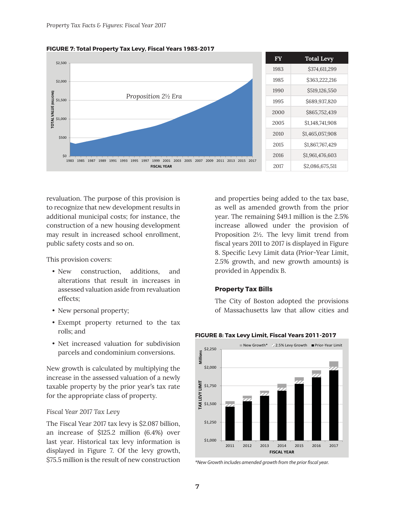



revaluation. The purpose of this provision is to recognize that new development results in additional municipal costs; for instance, the construction of a new housing development may result in increased school enrollment, public safety costs and so on.

This provision covers:

- New construction, additions, and alterations that result in increases in assessed valuation aside from revaluation effects;
- New personal property;
- Exempt property returned to the tax rolls; and
- Net increased valuation for subdivision parcels and condominium conversions.

New growth is calculated by multiplying the increase in the assessed valuation of a newly taxable property by the prior year's tax rate for the appropriate class of property.

#### *Fiscal Year 2017 Tax Levy*

The Fiscal Year 2017 tax levy is \$2.087 billion, an increase of \$125.2 million (6.4%) over last year. Historical tax levy information is displayed in Figure 7. Of the levy growth, \$75.5 million is the result of new construction and properties being added to the tax base, as well as amended growth from the prior year. The remaining \$49.1 million is the 2.5% increase allowed under the provision of Proposition 2½. The levy limit trend from fiscal years 2011 to 2017 is displayed in Figure 8. Specific Levy Limit data (Prior-Year Limit, 2.5% growth, and new growth amounts) is provided in Appendix B.

#### **Property Tax Bills**

The City of Boston adopted the provisions of Massachusetts law that allow cities and



**FIGURE 8: Tax Levy Limit, Fiscal Years 2011-2017**

<sup>\*</sup>New Growth includes amended growth from the prior fiscal year.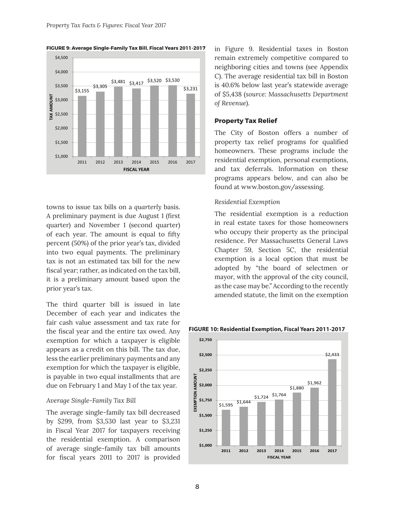

**FIGURE 9: Average Single-Family Tax Bill, Fiscal Years 2011-2017**

towns to issue tax bills on a *quarterly* basis. A preliminary payment is due August 1 (first quarter) and November 1 (second quarter) of each year. The amount is equal to fifty percent (50%) of the prior year's tax, divided into two equal payments. The preliminary tax is not an estimated tax bill for the new fiscal year; rather, as indicated on the tax bill, it is a preliminary amount based upon the prior year's tax.

The third quarter bill is issued in late December of each year and indicates the fair cash value assessment and tax rate for the fiscal year and the entire tax owed. Any exemption for which a taxpayer is eligible appears as a credit on this bill. The tax due, less the earlier preliminary payments and any exemption for which the taxpayer is eligible, is payable in two equal installments that are due on February 1 and May 1 of the tax year.

#### *Average Single-Family Tax Bill*

The average single-family tax bill decreased by \$299, from \$3,530 last year to \$3,231 in Fiscal Year 2017 for taxpayers receiving the residential exemption. A comparison of average single-family tax bill amounts for fiscal years 2011 to 2017 is provided in Figure 9. Residential taxes in Boston remain extremely competitive compared to neighboring cities and towns (see Appendix C). The average residential tax bill in Boston is 40.6% below last year's statewide average of \$5,438 (*source: Massachusetts Department of Revenue*).

#### **Property Tax Relief**

The City of Boston offers a number of property tax relief programs for qualified homeowners. These programs include the residential exemption, personal exemptions, and tax deferrals. Information on these programs appears below, and can also be found at www.boston.gov/assessing.

#### *Residential Exemption*

The residential exemption is a reduction in real estate taxes for those homeowners who occupy their property as the principal residence. Per Massachusetts General Laws Chapter 59, Section 5C, the residential exemption is a local option that must be adopted by "the board of selectmen or mayor, with the approval of the city council, as the case may be." According to the recently amended statute, the limit on the exemption



#### **FIGURE 10: Residential Exemption, Fiscal Years 2011-2017**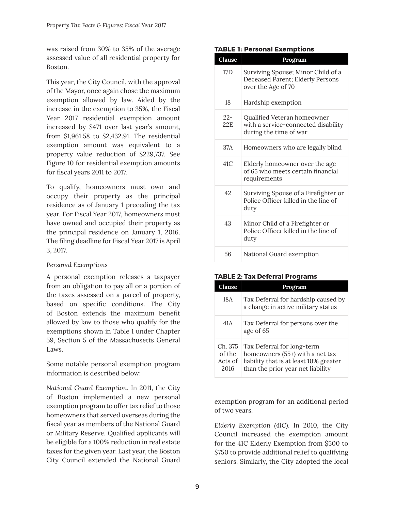was raised from 30% to 35% of the average assessed value of all residential property for Boston.

This year, the City Council, with the approval of the Mayor, once again chose the maximum exemption allowed by law. Aided by the increase in the exemption to 35%, the Fiscal Year 2017 residential exemption amount increased by \$471 over last year's amount, from \$1,961.58 to \$2,432.91. The residential exemption amount was equivalent to a property value reduction of \$229,737. See Figure 10 for residential exemption amounts for fiscal years 2011 to 2017.

To qualify, homeowners must own and occupy their property as the principal residence as of January 1 preceding the tax year. For Fiscal Year 2017, homeowners must have owned and occupied their property as the principal residence on January 1, 2016. The filing deadline for Fiscal Year 2017 is April 3, 2017.

# *Personal Exemptions*

A personal exemption releases a taxpayer from an obligation to pay all or a portion of the taxes assessed on a parcel of property, based on specific conditions. The City of Boston extends the maximum benefit allowed by law to those who qualify for the exemptions shown in Table 1 under Chapter 59, Section 5 of the Massachusetts General Laws.

Some notable personal exemption program information is described below:

*National Guard Exemption*. In 2011, the City of Boston implemented a new personal exemption program to offer tax relief to those homeowners that served overseas during the fiscal year as members of the National Guard or Military Reserve. Qualified applicants will be eligible for a 100% reduction in real estate taxes for the given year. Last year, the Boston City Council extended the National Guard

## **TABLE 1: Personal Exemptions**

| Clause        | Program                                                                                      |
|---------------|----------------------------------------------------------------------------------------------|
| 17D           | Surviving Spouse; Minor Child of a<br>Deceased Parent; Elderly Persons<br>over the Age of 70 |
| 18            | Hardship exemption                                                                           |
| $22 -$<br>22E | Qualified Veteran homeowner<br>with a service-connected disability<br>during the time of war |
| 37A           | Homeowners who are legally blind                                                             |
| 41C           | Elderly homeowner over the age<br>of 65 who meets certain financial<br>requirements          |
| 42            | Surviving Spouse of a Firefighter or<br>Police Officer killed in the line of<br>duty         |
| 43            | Minor Child of a Firefighter or<br>Police Officer killed in the line of<br>duty              |
| 56            | National Guard exemption                                                                     |

# **TABLE 2: Tax Deferral Programs**

| <b>Clause</b>                        | Program                                                                                                                                      |
|--------------------------------------|----------------------------------------------------------------------------------------------------------------------------------------------|
| 18A                                  | Tax Deferral for hardship caused by<br>a change in active military status                                                                    |
| 41A                                  | Tax Deferral for persons over the<br>age of 65                                                                                               |
| Ch. 375<br>of the<br>Acts of<br>2016 | Tax Deferral for long-term<br>homeowners (55+) with a net tax<br>liability that is at least 10% greater<br>than the prior year net liability |

exemption program for an additional period of two years.

*Elderly Exemption (41C)*. In 2010, the City Council increased the exemption amount for the 41C Elderly Exemption from \$500 to \$750 to provide additional relief to qualifying seniors. Similarly, the City adopted the local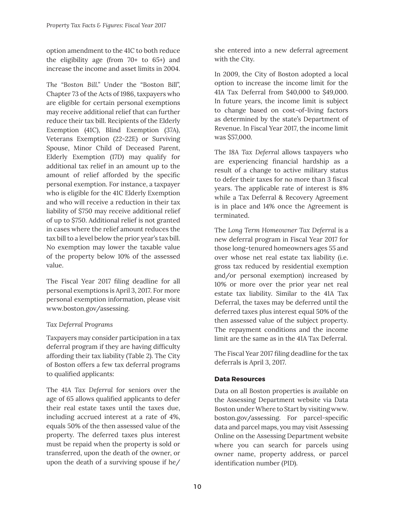option amendment to the 41C to both reduce the eligibility age (from 70+ to 65+) and increase the income and asset limits in 2004.

*The "Boston Bill."* Under the "Boston Bill", Chapter 73 of the Acts of 1986, taxpayers who are eligible for certain personal exemptions may receive additional relief that can further reduce their tax bill. Recipients of the Elderly Exemption (41C), Blind Exemption (37A), Veterans Exemption (22-22E) or Surviving Spouse, Minor Child of Deceased Parent, Elderly Exemption (17D) may qualify for additional tax relief in an amount up to the amount of relief afforded by the specific personal exemption. For instance, a taxpayer who is eligible for the 41C Elderly Exemption and who will receive a reduction in their tax liability of \$750 may receive additional relief of up to \$750. Additional relief is not granted in cases where the relief amount reduces the tax bill to a level below the prior year's tax bill. No exemption may lower the taxable value of the property below 10% of the assessed value.

The Fiscal Year 2017 filing deadline for all personal exemptions is April 3, 2017. For more personal exemption information, please visit www.boston.gov/assessing.

# *Tax Deferral Programs*

Taxpayers may consider participation in a tax deferral program if they are having difficulty affording their tax liability (Table 2). The City of Boston offers a few tax deferral programs to qualified applicants:

The *41A Tax Deferral* for seniors over the age of 65 allows qualified applicants to defer their real estate taxes until the taxes due, including accrued interest at a rate of 4%, equals 50% of the then assessed value of the property. The deferred taxes plus interest must be repaid when the property is sold or transferred, upon the death of the owner, or upon the death of a surviving spouse if he/ she entered into a new deferral agreement with the City.

In 2009, the City of Boston adopted a local option to increase the income limit for the 41A Tax Deferral from \$40,000 to \$49,000. In future years, the income limit is subject to change based on cost-of-living factors as determined by the state's Department of Revenue. In Fiscal Year 2017, the income limit was \$57,000.

The *18A Tax Deferral* allows taxpayers who are experiencing financial hardship as a result of a change to active military status to defer their taxes for no more than 3 fiscal years. The applicable rate of interest is 8% while a Tax Deferral & Recovery Agreement is in place and 14% once the Agreement is terminated.

The *Long Term Homeowner Tax Deferral* is a new deferral program in Fiscal Year 2017 for those long-tenured homeowners ages 55 and over whose net real estate tax liability (i.e. gross tax reduced by residential exemption and/or personal exemption) increased by 10% or more over the prior year net real estate tax liability. Similar to the 41A Tax Deferral, the taxes may be deferred until the deferred taxes plus interest equal 50% of the then assessed value of the subject property. The repayment conditions and the income limit are the same as in the 41A Tax Deferral.

The Fiscal Year 2017 filing deadline for the tax deferrals is April 3, 2017.

# **Data Resources**

Data on all Boston properties is available on the Assessing Department website via Data Boston under Where to Start by visiting www. boston.gov/assessing. For parcel-specific data and parcel maps, you may visit Assessing Online on the Assessing Department website where you can search for parcels using owner name, property address, or parcel identification number (PID).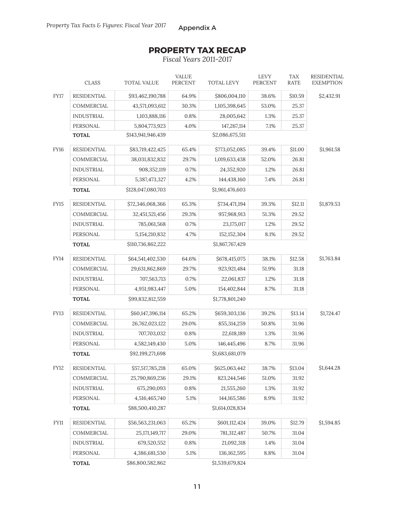# **PROPERTY TAX RECAP**

*Fiscal Years 2011-2017*

|             | <b>CLASS</b>                                        | <b>TOTAL VALUE</b> | <b>VALUE</b><br>PERCENT | TOTAL LEVY      | <b>LEVY</b><br><b>PERCENT</b> | <b>TAX</b><br>RATE | RESIDENTIAL<br><b>EXEMPTION</b> |
|-------------|-----------------------------------------------------|--------------------|-------------------------|-----------------|-------------------------------|--------------------|---------------------------------|
| <b>FY17</b> | <b>RESIDENTIAL</b>                                  | \$93,462,190,788   | 64.9%                   | \$806,004,110   | 38.6%                         | \$10.59            | \$2,432.91                      |
|             | COMMERCIAL                                          | 43,571,093,612     | 30.3%                   | 1,105,398,645   | 53.0%                         | 25.37              |                                 |
|             | <b>INDUSTRIAL</b>                                   | 1,103,888,116      | 0.8%                    | 28,005,642      | 1.3%                          | 25.37              |                                 |
|             | PERSONAL                                            | 5,804,773,923      | 4.0%                    | 147,267,114     | 7.1%                          | 25.37              |                                 |
|             | <b>TOTAL</b>                                        | \$2,086,675,511    |                         |                 |                               |                    |                                 |
| <b>FY16</b> | <b>RESIDENTIAL</b>                                  | \$83,719,422,425   | 65.4%                   | \$773,052,085   | 39.4%                         | \$11.00            | \$1,961.58                      |
|             | <b>COMMERCIAL</b>                                   | 38,031,832,832     | 29.7%                   | 1,019,633,438   | 52.0%                         | 26.81              |                                 |
|             | <b>INDUSTRIAL</b>                                   | 908,352,119        | 0.7%                    | 24,352,920      | 1.2%                          | 26.81              |                                 |
|             | PERSONAL                                            | 5,387,473,327      | 4.2%                    | 144,438,160     | 7.4%                          | 26.81              |                                 |
|             | <b>TOTAL</b>                                        | \$128,047,080,703  |                         | \$1,961,476,603 |                               |                    |                                 |
| FY15        | <b>RESIDENTIAL</b>                                  | \$72,346,068,366   | 65.3%                   | \$734,471,194   | 39.3%                         | \$12.11            | \$1,879.53                      |
|             | COMMERCIAL                                          | 32,451,521,456     | 29.3%                   | 957,968,913     | 51.3%                         | 29.52              |                                 |
|             | <b>INDUSTRIAL</b>                                   | 785,061,568        | 0.7%                    | 23,175,017      | 1.2%                          | 29.52              |                                 |
|             | PERSONAL                                            | 5,154,210,832      | 4.7%                    | 152, 152, 304   | 8.1%                          | 29.52              |                                 |
|             | <b>TOTAL</b>                                        | \$110,736,862,222  |                         | \$1,867,767,429 |                               |                    |                                 |
| <b>FY14</b> | <b>RESIDENTIAL</b>                                  | \$64,541,402,530   | 64.6%                   | \$678,415,075   | 38.1%                         | \$12.58            | \$1,763.84                      |
|             | COMMERCIAL                                          | 29,631,862,869     | 29.7%                   | 923,921,484     | 51.9%                         | 31.18              |                                 |
|             | <b>INDUSTRIAL</b>                                   | 707,563,713        | 0.7%                    | 22,061,837      | 1.2%                          | 31.18              |                                 |
|             | PERSONAL                                            | 4,951,983,447      | 5.0%                    | 154,402,844     | 8.7%                          | 31.18              |                                 |
|             | \$99,832,812,559<br>\$1,778,801,240<br><b>TOTAL</b> |                    |                         |                 |                               |                    |                                 |
| <b>FY13</b> | <b>RESIDENTIAL</b>                                  | \$60,147,396,114   | 65.2%                   | \$659,303,136   | 39.2%                         | \$13.14            | \$1,724.47                      |
|             | COMMERCIAL                                          | 26,762,023,122     | 29.0%                   | 855,314,259     | 50.8%                         | 31.96              |                                 |
|             | <b>INDUSTRIAL</b>                                   | 707,703,032        | 0.8%                    | 22,618,189      | 1.3%                          | 31.96              |                                 |
|             | PERSONAL                                            | 4,582,149,430      | 5.0%                    | 146,445,496     | 8.7%                          | 31.96              |                                 |
|             | <b>TOTAL</b>                                        | \$92,199,271,698   |                         | \$1,683,681,079 |                               |                    |                                 |
| <b>FY12</b> | RESIDENTIAL                                         | \$57,517,785,218   | 65.0%                   | \$625,063,442   | 38.7%                         | \$13.04            | \$1,644.28                      |
|             | COMMERCIAL                                          | 25,790,869,236     | 29.1%                   | 823,244,546     | 51.0%                         | 31.92              |                                 |
|             | <b>INDUSTRIAL</b>                                   | 675,290,093        | 0.8%                    | 21,555,260      | 1.3%                          | 31.92              |                                 |
|             | PERSONAL                                            | 4,516,465,740      | 5.1%                    | 144, 165, 586   | 8.9%                          | 31.92              |                                 |
|             | \$88,500,410,287<br>\$1,614,028,834<br><b>TOTAL</b> |                    |                         |                 |                               |                    |                                 |
| <b>FY11</b> | RESIDENTIAL                                         | \$56,563,231,063   | 65.2%                   | \$601,112,424   | 39.0%                         | \$12.79            | \$1,594.85                      |
|             | COMMERCIAL                                          | 25, 171, 149, 717  | 29.0%                   | 781,312,487     | 50.7%                         | 31.04              |                                 |
|             | <b>INDUSTRIAL</b>                                   | 679,520,552        | 0.8%                    | 21,092,318      | 1.4%                          | 31.04              |                                 |
|             | PERSONAL                                            | 4,386,681,530      | $5.1\%$                 | 136, 162, 595   | 8.8%                          | 31.04              |                                 |
|             | <b>TOTAL</b>                                        | \$86,800,582,862   |                         | \$1,539,679,824 |                               |                    |                                 |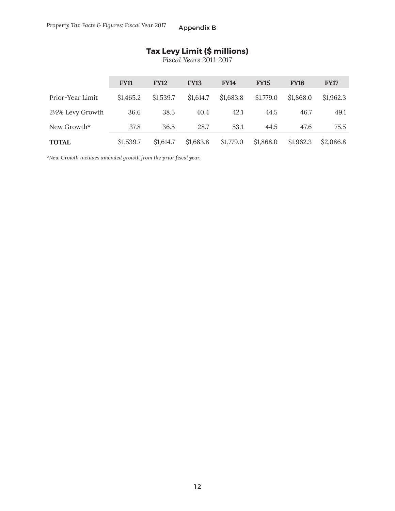# **Tax Levy Limit (\$ millions)**

*Fiscal Years 2011-2017*

|                              | <b>FY11</b> | <b>FY12</b> | <b>FY13</b> | <b>FY14</b> | <b>FY15</b> | <b>FY16</b> | <b>FY17</b> |
|------------------------------|-------------|-------------|-------------|-------------|-------------|-------------|-------------|
| Prior-Year Limit             | \$1,465.2   | \$1,539.7   | \$1,614.7   | \$1,683.8   | \$1,779.0   | \$1,868.0   | \$1,962.3   |
| $2\frac{1}{2}\%$ Levy Growth | 36.6        | 38.5        | 40.4        | 42.1        | 44.5        | 46.7        | 49.1        |
| New Growth*                  | 37.8        | 36.5        | 28.7        | 53.1        | 44.5        | 47.6        | 75.5        |
| <b>TOTAL</b>                 | \$1,539.7   | \$1,614.7   | \$1,683.8   | \$1,779.0   | \$1,868.0   | \$1,962.3   | \$2,086.8   |

*\*New Growth includes amended growth from the prior fi scal year.*